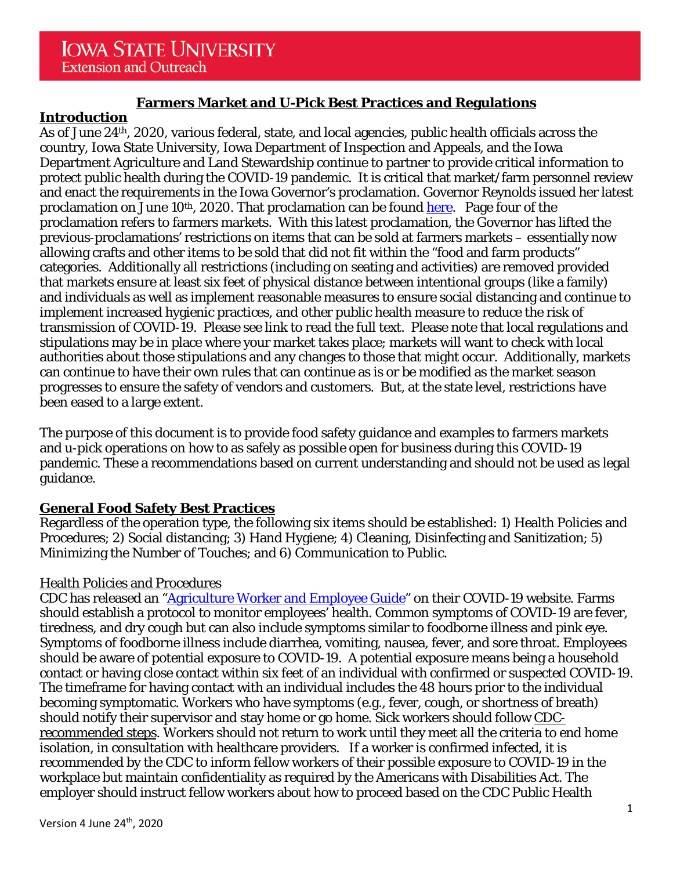# **Farmers Market and U-Pick Best Practices and Regulations**

# **Introduction**

As of June 24th, 2020, various federal, state, and local agencies, public health officials across the country, Iowa State University, Iowa Department of Inspection and Appeals, and the Iowa Department Agriculture and Land Stewardship continue to partner to provide critical information to protect public health during the COVID-19 pandemic. It is critical that market/farm personnel review and enact the requirements in the Iowa Governor's proclamation. Governor Reynolds issued her latest proclamation on June 10<sup>th</sup>, 2020. That proclamation can be found [here.](https://governor.iowa.gov/sites/default/files/documents/Public%20Health%20Proclamation%20-%202020.06.10.pdf) Page four of the proclamation refers to farmers markets. With this latest proclamation, the Governor has lifted the previous-proclamations' restrictions on items that can be sold at farmers markets – essentially now allowing crafts and other items to be sold that did not fit within the "food and farm products" categories. Additionally all restrictions (including on seating and activities) are removed provided that markets ensure at least six feet of physical distance between intentional groups (like a family) and individuals as well as implement reasonable measures to ensure social distancing and continue to implement increased hygienic practices, and other public health measure to reduce the risk of transmission of COVID-19. Please see link to read the full text. Please note that local regulations and stipulations may be in place where your market takes place; markets will want to check with local authorities about those stipulations and any changes to those that might occur. Additionally, markets can continue to have their own rules that can continue as is or be modified as the market season progresses to ensure the safety of vendors and customers. But, at the state level, restrictions have been eased to a large extent.

The purpose of this document is to provide food safety guidance and examples to farmers markets and u-pick operations on how to as safely as possible open for business during this COVID-19 pandemic. These a recommendations based on current understanding and should not be used as legal guidance.

# **General Food Safety Best Practices**

Regardless of the operation type, the following six items should be established: 1) Health Policies and Procedures; 2) Social distancing; 3) Hand Hygiene; 4) Cleaning, Disinfecting and Sanitization; 5) Minimizing the Number of Touches; and 6) Communication to Public.

# Health Policies and Procedures

CDC has released an ["Agriculture Worker and Employee Guide"](https://www.cdc.gov/coronavirus/2019-ncov/community/guidance-agricultural-workers.html) on their COVID-19 website. Farms should establish a protocol to monitor employees' health. Common symptoms of COVID-19 are fever, tiredness, and dry cough but can also include symptoms similar to foodborne illness and pink eye. Symptoms of foodborne illness include diarrhea, vomiting, nausea, fever, and sore throat. Employees should be aware of potential exposure to COVID-19. A potential exposure means being a household contact or having close contact within six feet of an individual with confirmed or suspected COVID-19. The timeframe for having contact with an individual includes the 48 hours prior to the individual becoming symptomatic. Workers who have symptoms (e.g., fever, cough, or shortness of breath) should notify their supervisor and stay home or go home. Sick workers should follow [CDC](https://www.cdc.gov/coronavirus/2019-ncov/if-you-are-sick/steps-when-sick.html)[recommended steps.](https://www.cdc.gov/coronavirus/2019-ncov/if-you-are-sick/steps-when-sick.html) Workers should not return to work until they meet all the criteria to end home isolation, in consultation with healthcare providers. If a worker is confirmed infected, it is recommended by the CDC to inform fellow workers of their possible exposure to COVID-19 in the workplace but maintain confidentiality as required by the Americans with Disabilities Act. The employer should instruct fellow workers about how to proceed based on the CDC Public Health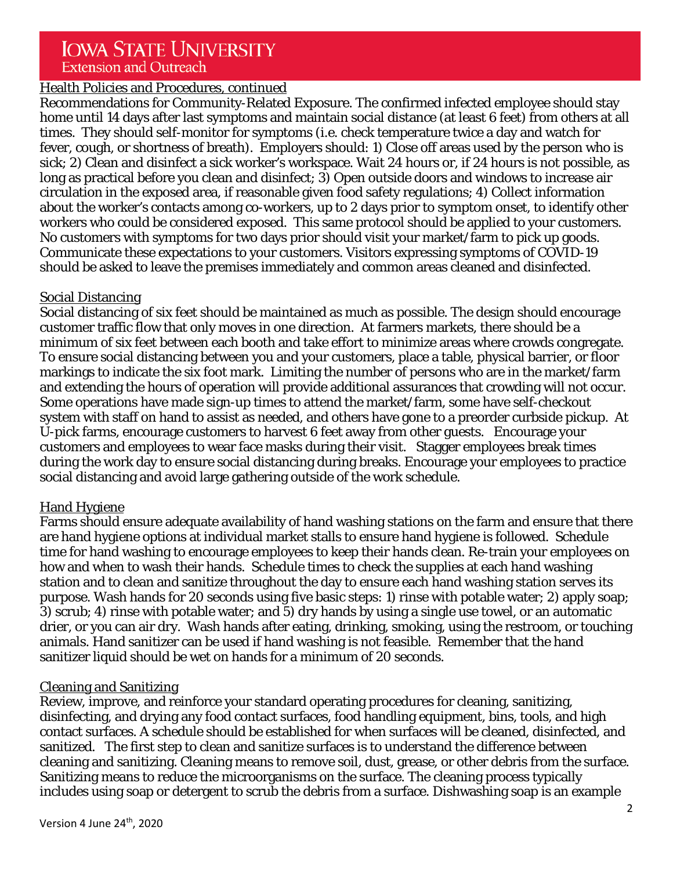# Health Policies and Procedures, continued

Recommendations for Community-Related Exposure. The confirmed infected employee should stay home until 14 days after last symptoms and maintain social distance (at least 6 feet) from others at all times. They should self-monitor for symptoms (i.e. check temperature twice a day and watch for fever, cough, or shortness of breath). Employers should: 1) Close off areas used by the person who is sick; 2) Clean and disinfect a sick worker's workspace. Wait 24 hours or, if 24 hours is not possible, as long as practical before you clean and disinfect; 3) Open outside doors and windows to increase air circulation in the exposed area, if reasonable given food safety regulations; 4) Collect information about the worker's contacts among co-workers, up to 2 days prior to symptom onset, to identify other workers who could be considered exposed. This same protocol should be applied to your customers. No customers with symptoms for two days prior should visit your market/farm to pick up goods. Communicate these expectations to your customers. Visitors expressing symptoms of COVID-19 should be asked to leave the premises immediately and common areas cleaned and disinfected.

#### Social Distancing

Social distancing of six feet should be maintained as much as possible. The design should encourage customer traffic flow that only moves in one direction. At farmers markets, there should be a minimum of six feet between each booth and take effort to minimize areas where crowds congregate. To ensure social distancing between you and your customers, place a table, physical barrier, or floor markings to indicate the six foot mark. Limiting the number of persons who are in the market/farm and extending the hours of operation will provide additional assurances that crowding will not occur. Some operations have made sign-up times to attend the market/farm, some have self-checkout system with staff on hand to assist as needed, and others have gone to a preorder curbside pickup. At U-pick farms, encourage customers to harvest 6 feet away from other guests. Encourage your customers and employees to wear face masks during their visit. Stagger employees break times during the work day to ensure social distancing during breaks. Encourage your employees to practice social distancing and avoid large gathering outside of the work schedule.

# Hand Hygiene

Farms should ensure adequate availability of hand washing stations on the farm and ensure that there are hand hygiene options at individual market stalls to ensure hand hygiene is followed. Schedule time for hand washing to encourage employees to keep their hands clean. Re-train your employees on how and when to wash their hands. Schedule times to check the supplies at each hand washing station and to clean and sanitize throughout the day to ensure each hand washing station serves its purpose. Wash hands for 20 seconds using five basic steps: 1) rinse with potable water; 2) apply soap; 3) scrub; 4) rinse with potable water; and 5) dry hands by using a single use towel, or an automatic drier, or you can air dry. Wash hands after eating, drinking, smoking, using the restroom, or touching animals. Hand sanitizer can be used if hand washing is not feasible. Remember that the hand sanitizer liquid should be wet on hands for a minimum of 20 seconds.

# Cleaning and Sanitizing

Review, improve, and reinforce your standard operating procedures for cleaning, sanitizing, disinfecting, and drying any food contact surfaces, food handling equipment, bins, tools, and high contact surfaces. A schedule should be established for when surfaces will be cleaned, disinfected, and sanitized. The first step to clean and sanitize surfaces is to understand the difference between cleaning and sanitizing. Cleaning means to remove soil, dust, grease, or other debris from the surface. Sanitizing means to reduce the microorganisms on the surface. The cleaning process typically includes using soap or detergent to scrub the debris from a surface. Dishwashing soap is an example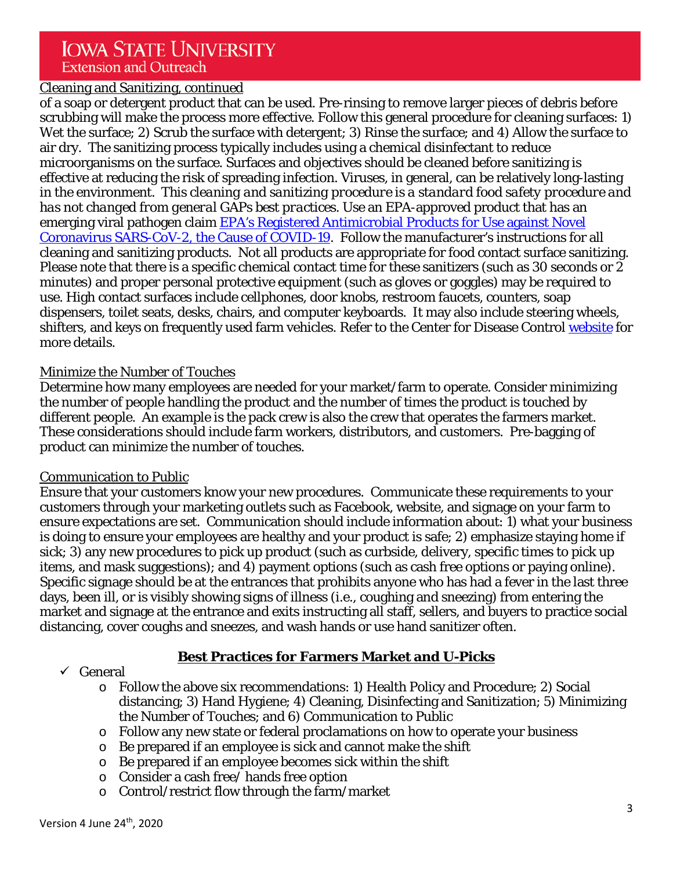# Cleaning and Sanitizing, continued

of a soap or detergent product that can be used. Pre-rinsing to remove larger pieces of debris before scrubbing will make the process more effective. Follow this general procedure for cleaning surfaces: 1) Wet the surface; 2) Scrub the surface with detergent; 3) Rinse the surface; and 4) Allow the surface to air dry. The sanitizing process typically includes using a chemical disinfectant to reduce microorganisms on the surface. Surfaces and objectives should be cleaned before sanitizing is effective at reducing the risk of spreading infection. Viruses, in general, can be relatively long-lasting in the environment. *This cleaning and sanitizing procedure is a standard food safety procedure and has not changed from general GAPs best practices.* Use an EPA-approved product that has an emerging viral pathogen claim [EPA's Registered Antimicrobial Products for Use against](https://www.americanchemistry.com/Novel-Coronavirus-Fighting-Products-List.pdf)) Novel [Coronavirus SARS-CoV-2, the Cause of COVID-19.](https://www.americanchemistry.com/Novel-Coronavirus-Fighting-Products-List.pdf)) Follow the manufacturer's instructions for all cleaning and sanitizing products. Not all products are appropriate for food contact surface sanitizing. Please note that there is a specific chemical contact time for these sanitizers (such as 30 seconds or 2 minutes) and proper personal protective equipment (such as gloves or goggles) may be required to use. High contact surfaces include cellphones, door knobs, restroom faucets, counters, soap dispensers, toilet seats, desks, chairs, and computer keyboards. It may also include steering wheels, shifters, and keys on frequently used farm vehicles. Refer to the Center for Disease Control [website](https://www.cdc.gov/flu/school/cleaning.htm) for more details.

#### Minimize the Number of Touches

Determine how many employees are needed for your market/farm to operate. Consider minimizing the number of people handling the product and the number of times the product is touched by different people. An example is the pack crew is also the crew that operates the farmers market. These considerations should include farm workers, distributors, and customers. Pre-bagging of product can minimize the number of touches.

#### Communication to Public

Ensure that your customers know your new procedures. Communicate these requirements to your customers through your marketing outlets such as Facebook, website, and signage on your farm to ensure expectations are set. Communication should include information about: 1) what your business is doing to ensure your employees are healthy and your product is safe; 2) emphasize staying home if sick; 3) any new procedures to pick up product (such as curbside, delivery, specific times to pick up items, and mask suggestions); and 4) payment options (such as cash free options or paying online). Specific signage should be at the entrances that prohibits anyone who has had a fever in the last three days, been ill, or is visibly showing signs of illness (i.e., coughing and sneezing) from entering the market and signage at the entrance and exits instructing all staff, sellers, and buyers to practice social distancing, cover coughs and sneezes, and wash hands or use hand sanitizer often.

# **Best Practices for Farmers Market and U-Picks**

#### $\checkmark$  General

- o Follow the above six recommendations: 1) Health Policy and Procedure; 2) Social distancing; 3) Hand Hygiene; 4) Cleaning, Disinfecting and Sanitization; 5) Minimizing the Number of Touches; and 6) Communication to Public
- o Follow any new state or federal proclamations on how to operate your business
- o Be prepared if an employee is sick and cannot make the shift
- o Be prepared if an employee becomes sick within the shift
- o Consider a cash free/ hands free option
- o Control/restrict flow through the farm/market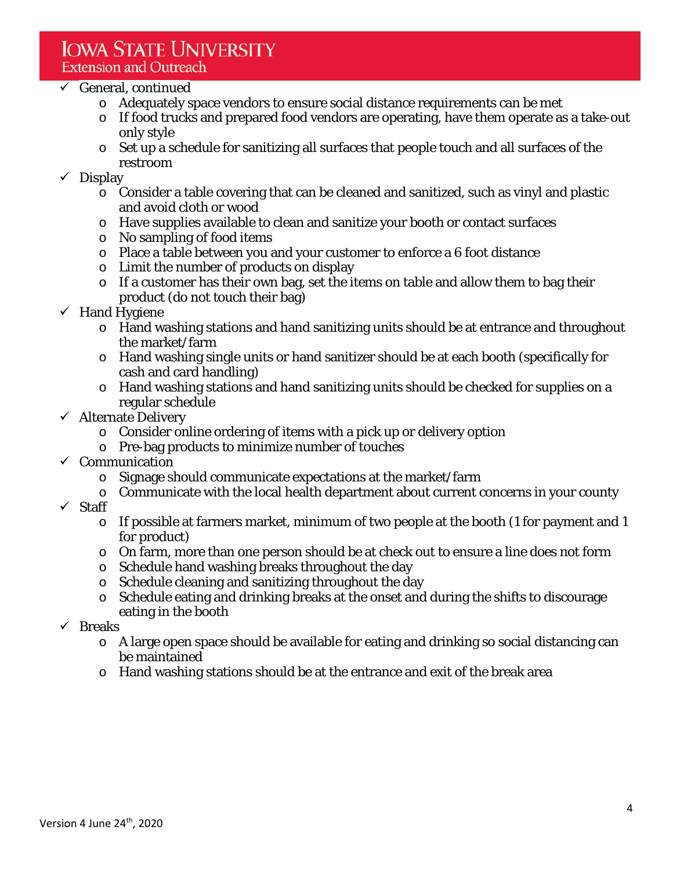# $\checkmark$  General, continued

- o Adequately space vendors to ensure social distance requirements can be met
- o If food trucks and prepared food vendors are operating, have them operate as a take-out only style
- o Set up a schedule for sanitizing all surfaces that people touch and all surfaces of the restroom

#### $\checkmark$  Display

- o Consider a table covering that can be cleaned and sanitized, such as vinyl and plastic and avoid cloth or wood
- o Have supplies available to clean and sanitize your booth or contact surfaces
- o No sampling of food items
- o Place a table between you and your customer to enforce a 6 foot distance
- o Limit the number of products on display
- o If a customer has their own bag, set the items on table and allow them to bag their product (do not touch their bag)
- $\checkmark$  Hand Hygiene
	- o Hand washing stations and hand sanitizing units should be at entrance and throughout the market/farm
	- o Hand washing single units or hand sanitizer should be at each booth (specifically for cash and card handling)
	- o Hand washing stations and hand sanitizing units should be checked for supplies on a regular schedule
- $\checkmark$  Alternate Delivery
	- o Consider online ordering of items with a pick up or delivery option
	- o Pre-bag products to minimize number of touches
- $\checkmark$  Communication
	- o Signage should communicate expectations at the market/farm
	- o Communicate with the local health department about current concerns in your county
- $\checkmark$  Staff
	- $\circ$  If possible at farmers market, minimum of two people at the booth (1 for payment and 1 for product)
	- o On farm, more than one person should be at check out to ensure a line does not form
	- o Schedule hand washing breaks throughout the day
	- o Schedule cleaning and sanitizing throughout the day
	- o Schedule eating and drinking breaks at the onset and during the shifts to discourage eating in the booth
- $\checkmark$  Breaks
	- o A large open space should be available for eating and drinking so social distancing can be maintained
	- o Hand washing stations should be at the entrance and exit of the break area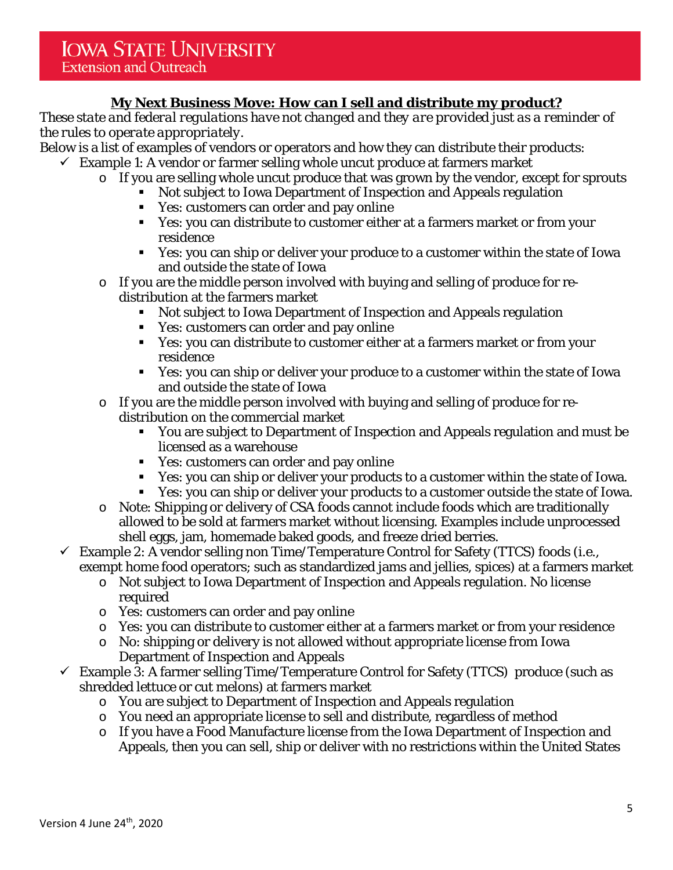# **My Next Business Move: How can I sell and distribute my product?**

*These state and federal regulations have not changed and they are provided just as a reminder of the rules to operate appropriately*.

Below is a list of examples of vendors or operators and how they can distribute their products:

- $\checkmark$  Example 1: A vendor or farmer selling whole uncut produce at farmers market
	- o If you are selling whole uncut produce that was grown by the vendor, except for sprouts
		- Not subject to Iowa Department of Inspection and Appeals regulation
		- Yes: customers can order and pay online
		- Yes: you can distribute to customer either at a farmers market or from your residence
		- Yes: you can ship or deliver your produce to a customer within the state of Iowa and outside the state of Iowa
	- o If you are the middle person involved with buying and selling of produce for redistribution at the farmers market
		- Not subject to Iowa Department of Inspection and Appeals regulation
		- Yes: customers can order and pay online
		- Yes: you can distribute to customer either at a farmers market or from your residence
		- Yes: you can ship or deliver your produce to a customer within the state of Iowa and outside the state of Iowa
	- o If you are the middle person involved with buying and selling of produce for redistribution on the commercial market
		- You are subject to Department of Inspection and Appeals regulation and must be licensed as a warehouse
		- Yes: customers can order and pay online
		- Yes: you can ship or deliver your products to a customer within the state of Iowa.
		- Yes: you can ship or deliver your products to a customer outside the state of Iowa.
	- o Note: Shipping or delivery of CSA foods cannot include foods which are traditionally allowed to be sold at farmers market without licensing. Examples include unprocessed shell eggs, jam, homemade baked goods, and freeze dried berries.
- $\checkmark$  Example 2: A vendor selling non Time/Temperature Control for Safety (TTCS) foods (i.e., exempt home food operators; such as standardized jams and jellies, spices) at a farmers market
	- o Not subject to Iowa Department of Inspection and Appeals regulation. No license required
	- o Yes: customers can order and pay online
	- o Yes: you can distribute to customer either at a farmers market or from your residence
	- o No: shipping or delivery is not allowed without appropriate license from Iowa Department of Inspection and Appeals
- $\checkmark$  Example 3: A farmer selling Time/Temperature Control for Safety (TTCS) produce (such as shredded lettuce or cut melons) at farmers market
	- o You are subject to Department of Inspection and Appeals regulation
	- o You need an appropriate license to sell and distribute, regardless of method
	- o If you have a Food Manufacture license from the Iowa Department of Inspection and Appeals, then you can sell, ship or deliver with no restrictions within the United States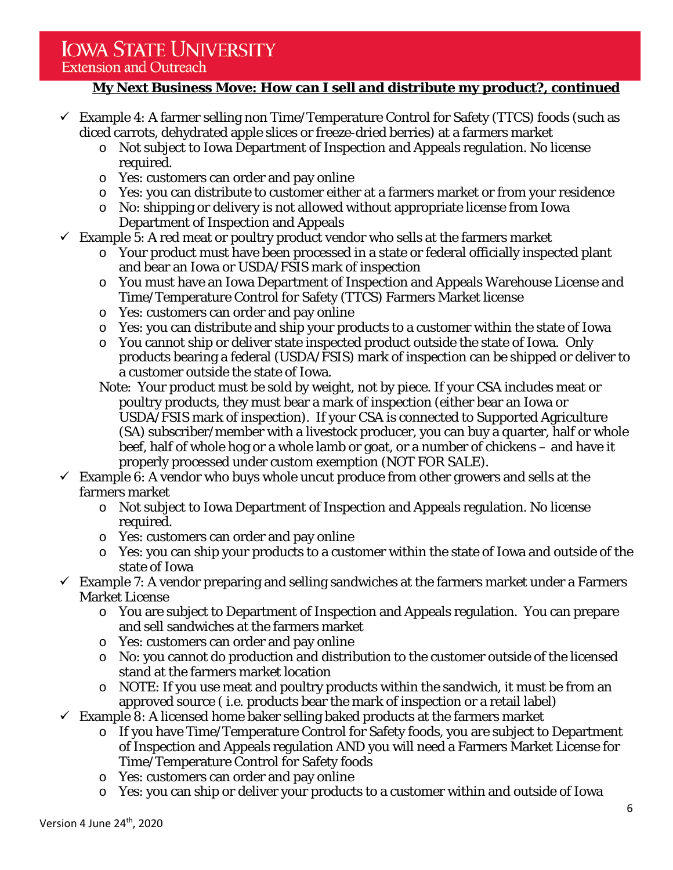# **IOWA STATE UNIVERSITY**

# **Extension and Outreach**

# **My Next Business Move: How can I sell and distribute my product?, continued**

- $\checkmark$  Example 4: A farmer selling non Time/Temperature Control for Safety (TTCS) foods (such as diced carrots, dehydrated apple slices or freeze-dried berries) at a farmers market
	- o Not subject to Iowa Department of Inspection and Appeals regulation. No license required.
	- o Yes: customers can order and pay online
	- o Yes: you can distribute to customer either at a farmers market or from your residence
	- o No: shipping or delivery is not allowed without appropriate license from Iowa Department of Inspection and Appeals
- $\checkmark$  Example 5: A red meat or poultry product vendor who sells at the farmers market
	- o Your product must have been processed in a state or federal officially inspected plant and bear an Iowa or USDA/FSIS mark of inspection
	- o You must have an Iowa Department of Inspection and Appeals Warehouse License and Time/Temperature Control for Safety (TTCS) Farmers Market license
	- o Yes: customers can order and pay online
	- o Yes: you can distribute and ship your products to a customer within the state of Iowa
	- o You cannot ship or deliver state inspected product outside the state of Iowa. Only products bearing a federal (USDA/FSIS) mark of inspection can be shipped or deliver to a customer outside the state of Iowa.
	- Note: Your product must be sold by weight, not by piece. If your CSA includes meat or poultry products, they must bear a mark of inspection (either bear an Iowa or USDA/FSIS mark of inspection). If your CSA is connected to Supported Agriculture (SA) subscriber/member with a livestock producer, you can buy a quarter, half or whole beef, half of whole hog or a whole lamb or goat, or a number of chickens – and have it properly processed under custom exemption (NOT FOR SALE).
- $\checkmark$  Example 6: A vendor who buys whole uncut produce from other growers and sells at the farmers market
	- o Not subject to Iowa Department of Inspection and Appeals regulation. No license required.
	- o Yes: customers can order and pay online
	- o Yes: you can ship your products to a customer within the state of Iowa and outside of the state of Iowa
- $\checkmark$  Example 7: A vendor preparing and selling sandwiches at the farmers market under a Farmers Market License
	- o You are subject to Department of Inspection and Appeals regulation. You can prepare and sell sandwiches at the farmers market
	- o Yes: customers can order and pay online
	- o No: you cannot do production and distribution to the customer outside of the licensed stand at the farmers market location
	- o NOTE: If you use meat and poultry products within the sandwich, it must be from an approved source ( i.e. products bear the mark of inspection or a retail label)
- $\checkmark$  Example 8: A licensed home baker selling baked products at the farmers market
	- o If you have Time/Temperature Control for Safety foods, you are subject to Department of Inspection and Appeals regulation AND you will need a Farmers Market License for Time/Temperature Control for Safety foods
	- o Yes: customers can order and pay online
	- o Yes: you can ship or deliver your products to a customer within and outside of Iowa